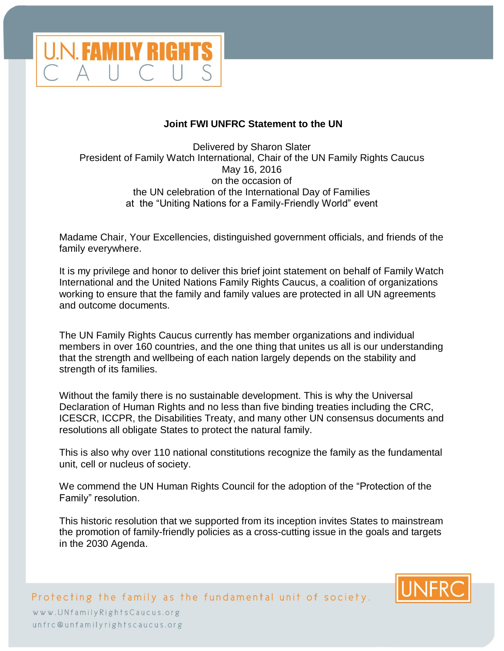

## **Joint FWI UNFRC Statement to the UN**

Delivered by Sharon Slater President of Family Watch International, Chair of the UN Family Rights Caucus May 16, 2016 on the occasion of the UN celebration of the International Day of Families at the "Uniting Nations for a Family-Friendly World" event

Madame Chair, Your Excellencies, distinguished government officials, and friends of the family everywhere.

It is my privilege and honor to deliver this brief joint statement on behalf of Family Watch International and the United Nations Family Rights Caucus, a coalition of organizations working to ensure that the family and family values are protected in all UN agreements and outcome documents.

The UN Family Rights Caucus currently has member organizations and individual members in over 160 countries, and the one thing that unites us all is our understanding that the strength and wellbeing of each nation largely depends on the stability and strength of its families.

Without the family there is no sustainable development. This is why the Universal Declaration of Human Rights and no less than five binding treaties including the CRC, ICESCR, ICCPR, the Disabilities Treaty, and many other UN consensus documents and resolutions all obligate States to protect the natural family.

This is also why over 110 national constitutions recognize the family as the fundamental unit, cell or nucleus of society.

We commend the UN Human Rights Council for the adoption of the "Protection of the Family" resolution.

This historic resolution that we supported from its inception invites States to mainstream the promotion of family-friendly policies as a cross-cutting issue in the goals and targets in the 2030 Agenda.



Protecting the family as the fundamental unit of society. www.UNfamilyRightsCaucus.org unfrc@unfamilyrightscaucus.org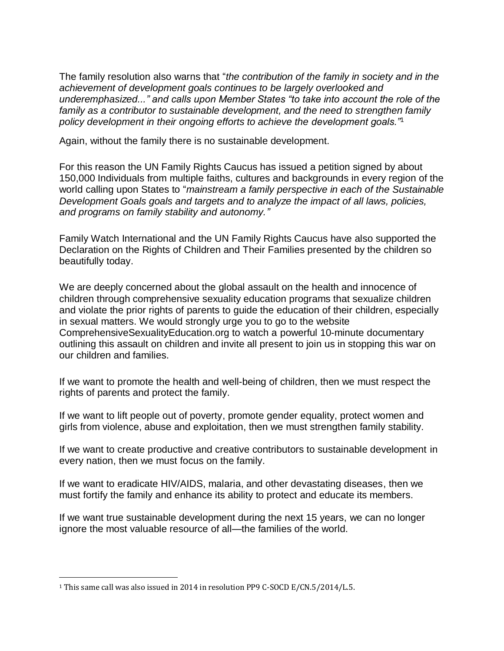The family resolution also warns that "*the contribution of the family in society and in the achievement of development goals continues to be largely overlooked and underemphasized..." and calls upon Member States "to take into account the role of the family as a contributor to sustainable development, and the need to strengthen family policy development in their ongoing efforts to achieve the development goals."*<sup>1</sup>

Again, without the family there is no sustainable development.

For this reason the UN Family Rights Caucus has issued a petition signed by about 150,000 Individuals from multiple faiths, cultures and backgrounds in every region of the world calling upon States to "*mainstream a family perspective in each of the Sustainable Development Goals goals and targets and to analyze the impact of all laws, policies, and programs on family stability and autonomy."*

Family Watch International and the UN Family Rights Caucus have also supported the Declaration on the Rights of Children and Their Families presented by the children so beautifully today.

We are deeply concerned about the global assault on the health and innocence of children through comprehensive sexuality education programs that sexualize children and violate the prior rights of parents to guide the education of their children, especially in sexual matters. We would strongly urge you to go to the website ComprehensiveSexualityEducation.org to watch a powerful 10-minute documentary outlining this assault on children and invite all present to join us in stopping this war on our children and families.

If we want to promote the health and well-being of children, then we must respect the rights of parents and protect the family.

If we want to lift people out of poverty, promote gender equality, protect women and girls from violence, abuse and exploitation, then we must strengthen family stability.

If we want to create productive and creative contributors to sustainable development in every nation, then we must focus on the family.

If we want to eradicate HIV/AIDS, malaria, and other devastating diseases, then we must fortify the family and enhance its ability to protect and educate its members.

If we want true sustainable development during the next 15 years, we can no longer ignore the most valuable resource of all—the families of the world.

 $\overline{a}$ 

<sup>&</sup>lt;sup>1</sup> This same call was also issued in 2014 in resolution PP9 C-SOCD E/CN.5/2014/L.5.